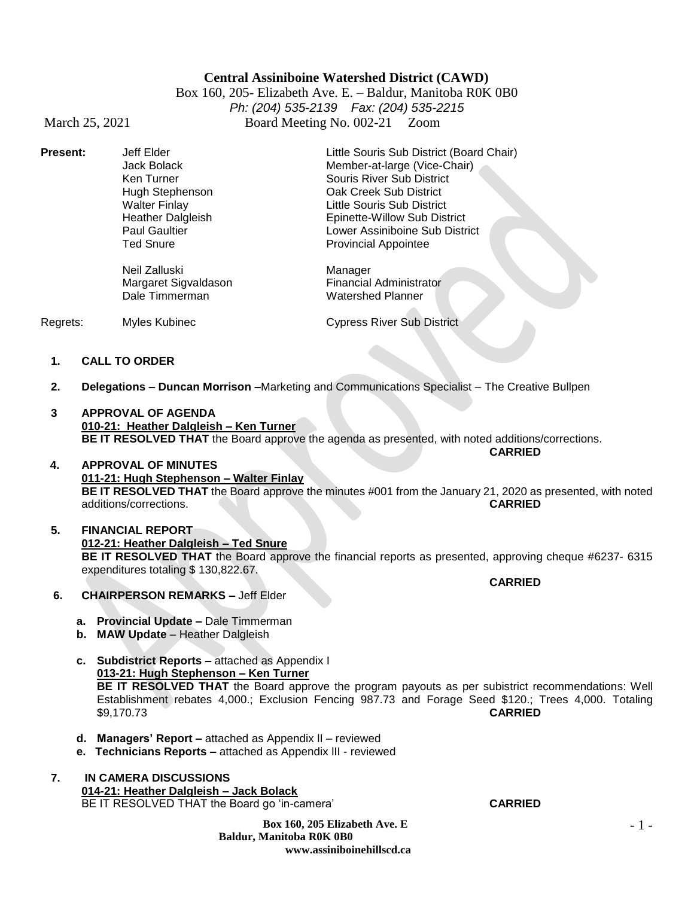#### **Central Assiniboine Watershed District (CAWD)**

Box 160, 205- Elizabeth Ave. E. – Baldur, Manitoba R0K 0B0 *Ph: (204) 535-2139 Fax: (204) 535-2215* March 25, 2021 Board Meeting No. 002-21 Zoom

**Present:** Jeff Elder Little Souris Sub District (Board Chair) Jack Bolack Member-at-large (Vice-Chair) Hugh Stephenson **Calcul Coak Creek Sub District**<br>
Walter Finlay **Calcul Coast Coast Coast Coast Coast Coast Coast Coast Coast Coast Coast Coast Coast Coast Coast** Heather Dalgleish Epinette-Willow Sub District Paul Gaultier **Lower Assiniboine Sub District**<br> **Lower Assiniboine Sub District**<br> **Lower Assiniboine Sub District**<br> **Provincial Appointee** 

> Neil Zalluski<br>Margaret Sigvaldason Margaret Sigvaldason Financial Administrator Margaret Sigvaldason Financial Administrational Financial Administrational Property Controller Channel Channel<br>Matershed Planner Dale Timmerman

Souris River Sub District Little Souris Sub District Provincial Appointee

Regrets: Myles Kubinec Cypress River Sub District

**1. CALL TO ORDER**

- **2. Delegations – Duncan Morrison –**Marketing and Communications Specialist The Creative Bullpen
- **3 APPROVAL OF AGENDA 010-21: Heather Dalgleish – Ken Turner BE IT RESOLVED THAT** the Board approve the agenda as presented, with noted additions/corrections.
- **4. APPROVAL OF MINUTES 011-21: Hugh Stephenson – Walter Finlay BE IT RESOLVED THAT** the Board approve the minutes #001 from the January 21, 2020 as presented, with noted additions/corrections. **CARRIED**
- **5. FINANCIAL REPORT 012-21: Heather Dalgleish – Ted Snure BE IT RESOLVED THAT** the Board approve the financial reports as presented, approving cheque #6237- 6315 expenditures totaling \$ 130,822.67.
- **6. CHAIRPERSON REMARKS –** Jeff Elder
	- **a. Provincial Update –** Dale Timmerman
	- **b. MAW Update**  Heather Dalgleish
	- **c. Subdistrict Reports –** attached as Appendix I **013-21: Hugh Stephenson – Ken Turner BE IT RESOLVED THAT** the Board approve the program payouts as per subistrict recommendations: Well Establishment rebates 4,000.; Exclusion Fencing 987.73 and Forage Seed \$120.; Trees 4,000. Totaling \$9,170.73 **CARRIED**
	- **d. Managers' Report –** attached as Appendix lI reviewed
	- **e. Technicians Reports –** attached as Appendix lII reviewed
- **7. IN CAMERA DISCUSSIONS 014-21: Heather Dalgleish – Jack Bolack** BE IT RESOLVED THAT the Board go 'in-camera' **CARRIED**

**Box 160, 205 Elizabeth Ave. E Baldur, Manitoba R0K 0B0 www.assiniboinehillscd.ca**

**CARRIED**

**CARRIED**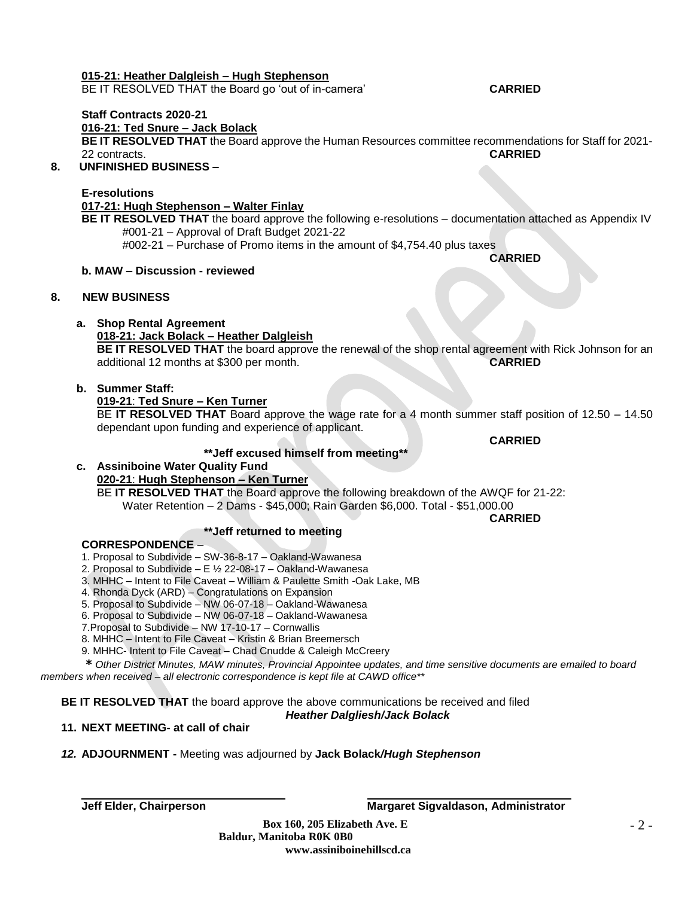#### **015-21: Heather Dalgleish – Hugh Stephenson**

BE IT RESOLVED THAT the Board go 'out of in-camera' **CARRIED**

# **Staff Contracts 2020-21**

**016-21: Ted Snure – Jack Bolack**

**BE IT RESOLVED THAT** the Board approve the Human Resources committee recommendations for Staff for 2021-<br>22 contracts<br>**CARRIED** 22 contracts.

# **8. UNFINISHED BUSINESS –**

### **E-resolutions**

#### **017-21: Hugh Stephenson – Walter Finlay**

**BE IT RESOLVED THAT** the board approve the following e-resolutions – documentation attached as Appendix IV #001-21 – Approval of Draft Budget 2021-22 #002-21 – Purchase of Promo items in the amount of \$4,754.40 plus taxes

#### **b. MAW – Discussion - reviewed**

#### **8. NEW BUSINESS**

#### **a. Shop Rental Agreement**

#### **018-21: Jack Bolack – Heather Dalgleish**

**BE IT RESOLVED THAT** the board approve the renewal of the shop rental agreement with Rick Johnson for an additional 12 months at \$300 per month. **CARRIED**

#### **b. Summer Staff:**

#### **019-21**: **Ted Snure – Ken Turner**

BE **IT RESOLVED THAT** Board approve the wage rate for a 4 month summer staff position of 12.50 – 14.50 dependant upon funding and experience of applicant.

#### **\*\*Jeff excused himself from meeting\*\***

# **c. Assiniboine Water Quality Fund**

### **020-21**: **Hugh Stephenson – Ken Turner**

BE **IT RESOLVED THAT** the Board approve the following breakdown of the AWQF for 21-22: Water Retention – 2 Dams - \$45,000; Rain Garden \$6,000. Total - \$51,000.00

#### **\*\*Jeff returned to meeting**

#### **CORRESPONDENCE** –

- 1. Proposal to Subdivide SW-36-8-17 Oakland-Wawanesa
- 2. Proposal to Subdivide E ½ 22-08-17 Oakland-Wawanesa
- 3. MHHC Intent to File Caveat William & Paulette Smith -Oak Lake, MB
- 4. Rhonda Dyck (ARD) Congratulations on Expansion
- 5. Proposal to Subdivide NW 06-07-18 Oakland-Wawanesa
- 6. Proposal to Subdivide NW 06-07-18 Oakland-Wawanesa
- 7.Proposal to Subdivide NW 17-10-17 Cornwallis
- 8. MHHC Intent to File Caveat Kristin & Brian Breemersch
- 9. MHHC- Intent to File Caveat Chad Cnudde & Caleigh McCreery

*\* Other District Minutes, MAW minutes, Provincial Appointee updates, and time sensitive documents are emailed to board members when received – all electronic correspondence is kept file at CAWD office\*\**

**BE IT RESOLVED THAT** the board approve the above communications be received and filed

#### *Heather Dalgliesh/Jack Bolack*

# **11. NEXT MEETING- at call of chair**

#### *12.* **ADJOURNMENT -** Meeting was adjourned by **Jack Bolack***/Hugh Stephenson*

# **Jeff Elder, Chairperson Margaret Sigvaldason, Administrator**

**CARRIED**

**CARRIED**

**CARRIED**